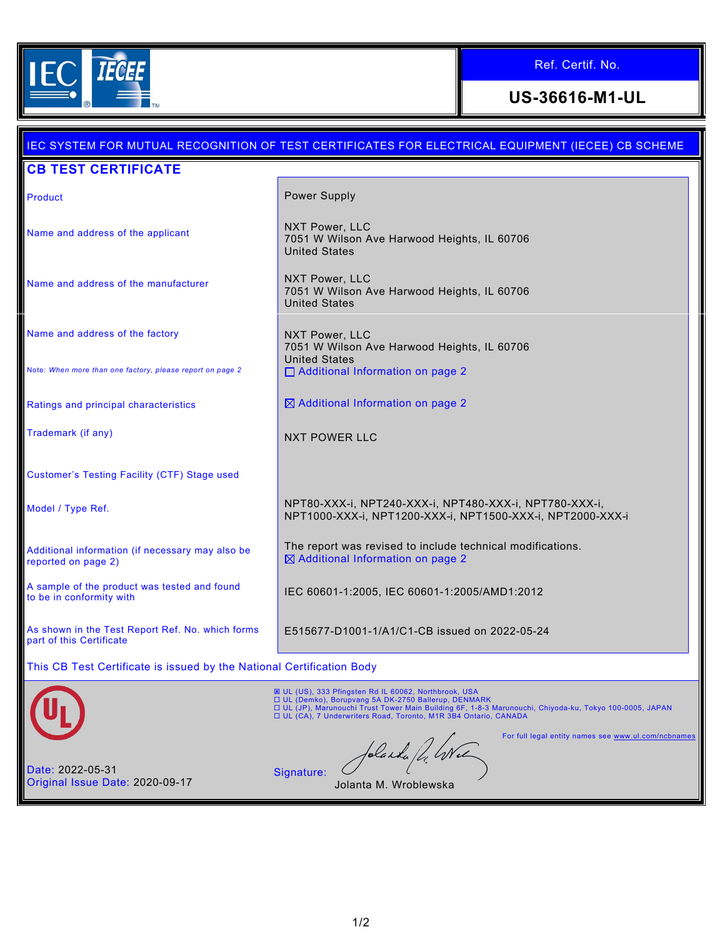

ī.

# Ref. Certif. No.

**US-36616-M1-UL**

| IEC SYSTEM FOR MUTUAL RECOGNITION OF TEST CERTIFICATES FOR ELECTRICAL EQUIPMENT (IECEE) CB SCHEME |                                                                                                                                                                                                                                                                                                     |
|---------------------------------------------------------------------------------------------------|-----------------------------------------------------------------------------------------------------------------------------------------------------------------------------------------------------------------------------------------------------------------------------------------------------|
| <b>CB TEST CERTIFICATE</b>                                                                        |                                                                                                                                                                                                                                                                                                     |
| Product                                                                                           | Power Supply                                                                                                                                                                                                                                                                                        |
| Name and address of the applicant                                                                 | NXT Power, LLC<br>7051 W Wilson Ave Harwood Heights, IL 60706<br><b>United States</b>                                                                                                                                                                                                               |
| Name and address of the manufacturer                                                              | NXT Power, LLC<br>7051 W Wilson Ave Harwood Heights, IL 60706<br><b>United States</b>                                                                                                                                                                                                               |
| Name and address of the factory                                                                   | NXT Power, LLC<br>7051 W Wilson Ave Harwood Heights, IL 60706                                                                                                                                                                                                                                       |
| Note: When more than one factory, please report on page 2                                         | <b>United States</b><br>□ Additional Information on page 2                                                                                                                                                                                                                                          |
| Ratings and principal characteristics                                                             | ⊠ Additional Information on page 2                                                                                                                                                                                                                                                                  |
| Trademark (if any)                                                                                | <b>NXT POWER LLC</b>                                                                                                                                                                                                                                                                                |
| <b>Customer's Testing Facility (CTF) Stage used</b>                                               |                                                                                                                                                                                                                                                                                                     |
| Model / Type Ref.                                                                                 | NPT80-XXX-i, NPT240-XXX-i, NPT480-XXX-i, NPT780-XXX-i,<br>NPT1000-XXX-i, NPT1200-XXX-i, NPT1500-XXX-i, NPT2000-XXX-i                                                                                                                                                                                |
| Additional information (if necessary may also be<br>reported on page 2)                           | The report was revised to include technical modifications.<br>⊠ Additional Information on page 2                                                                                                                                                                                                    |
| A sample of the product was tested and found<br>to be in conformity with                          | IEC 60601-1:2005, IEC 60601-1:2005/AMD1:2012                                                                                                                                                                                                                                                        |
| As shown in the Test Report Ref. No. which forms<br>part of this Certificate                      | E515677-D1001-1/A1/C1-CB issued on 2022-05-24                                                                                                                                                                                                                                                       |
| This CB Test Certificate is issued by the National Certification Body                             |                                                                                                                                                                                                                                                                                                     |
|                                                                                                   | <b>E UL (US), 333 Pfingsten Rd IL 60062, Northbrook, USA</b><br>□ UL (Demko), Borupvang 5A DK-2750 Ballerup, DENMARK<br>□ UL (JP), Marunouchi Trust Tower Main Building 6F, 1-8-3 Marunouchi, Chiyoda-ku, Tokyo 100-0005, JAPAN<br>□ UL (CA), 7 Underwriters Road, Toronto, M1R 3B4 Ontario, CANADA |
|                                                                                                   | For full legal entity names see www.ul.com/ncbnames<br>folanda / 4. Wel                                                                                                                                                                                                                             |
| Date: 2022-05-31<br>Original Issue Date: 2020-09-17                                               | Signature:<br>Jolanta M. Wroblewska                                                                                                                                                                                                                                                                 |